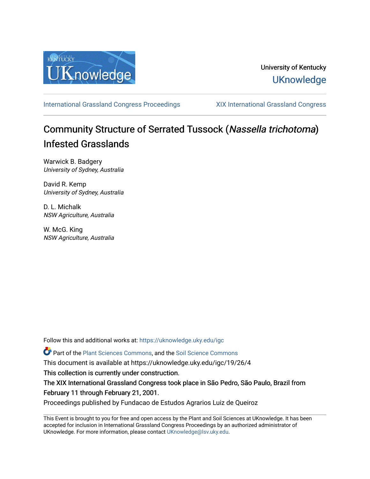

### University of Kentucky **UKnowledge**

[International Grassland Congress Proceedings](https://uknowledge.uky.edu/igc) [XIX International Grassland Congress](https://uknowledge.uky.edu/igc/19) 

# Community Structure of Serrated Tussock (Nassella trichotoma) Infested Grasslands

Warwick B. Badgery University of Sydney, Australia

David R. Kemp University of Sydney, Australia

D. L. Michalk NSW Agriculture, Australia

W. McG. King NSW Agriculture, Australia

Follow this and additional works at: [https://uknowledge.uky.edu/igc](https://uknowledge.uky.edu/igc?utm_source=uknowledge.uky.edu%2Figc%2F19%2F26%2F4&utm_medium=PDF&utm_campaign=PDFCoverPages) 

Part of the [Plant Sciences Commons](http://network.bepress.com/hgg/discipline/102?utm_source=uknowledge.uky.edu%2Figc%2F19%2F26%2F4&utm_medium=PDF&utm_campaign=PDFCoverPages), and the [Soil Science Commons](http://network.bepress.com/hgg/discipline/163?utm_source=uknowledge.uky.edu%2Figc%2F19%2F26%2F4&utm_medium=PDF&utm_campaign=PDFCoverPages) 

This document is available at https://uknowledge.uky.edu/igc/19/26/4

This collection is currently under construction.

The XIX International Grassland Congress took place in São Pedro, São Paulo, Brazil from February 11 through February 21, 2001.

Proceedings published by Fundacao de Estudos Agrarios Luiz de Queiroz

This Event is brought to you for free and open access by the Plant and Soil Sciences at UKnowledge. It has been accepted for inclusion in International Grassland Congress Proceedings by an authorized administrator of UKnowledge. For more information, please contact [UKnowledge@lsv.uky.edu](mailto:UKnowledge@lsv.uky.edu).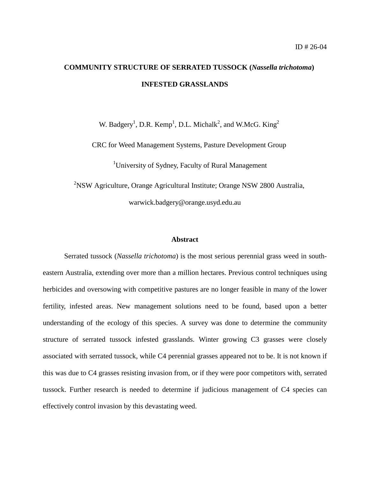## **COMMUNITY STRUCTURE OF SERRATED TUSSOCK (***Nassella trichotoma***) INFESTED GRASSLANDS**

W. Badgery<sup>1</sup>, D.R. Kemp<sup>1</sup>, D.L. Michalk<sup>2</sup>, and W.McG. King<sup>2</sup>

CRC for Weed Management Systems, Pasture Development Group

<sup>1</sup>University of Sydney, Faculty of Rural Management

<sup>2</sup>NSW Agriculture, Orange Agricultural Institute; Orange NSW 2800 Australia, warwick.badgery@orange.usyd.edu.au

#### **Abstract**

Serrated tussock (*Nassella trichotoma*) is the most serious perennial grass weed in southeastern Australia, extending over more than a million hectares. Previous control techniques using herbicides and oversowing with competitive pastures are no longer feasible in many of the lower fertility, infested areas. New management solutions need to be found, based upon a better understanding of the ecology of this species. A survey was done to determine the community structure of serrated tussock infested grasslands. Winter growing C3 grasses were closely associated with serrated tussock, while C4 perennial grasses appeared not to be. It is not known if this was due to C4 grasses resisting invasion from, or if they were poor competitors with, serrated tussock. Further research is needed to determine if judicious management of C4 species can effectively control invasion by this devastating weed.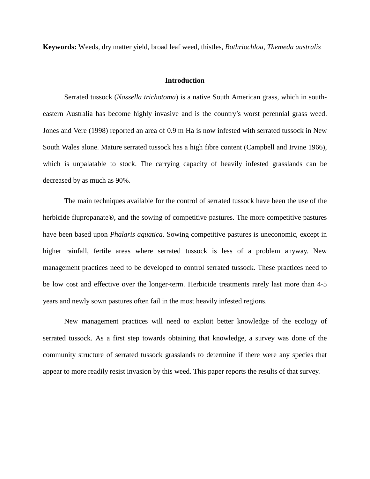**Keywords:** Weeds, dry matter yield, broad leaf weed, thistles, *Bothriochloa*, *Themeda australis*

#### **Introduction**

Serrated tussock (*Nassella trichotoma*) is a native South American grass, which in southeastern Australia has become highly invasive and is the country's worst perennial grass weed. Jones and Vere (1998) reported an area of 0.9 m Ha is now infested with serrated tussock in New South Wales alone. Mature serrated tussock has a high fibre content (Campbell and Irvine 1966), which is unpalatable to stock. The carrying capacity of heavily infested grasslands can be decreased by as much as 90%.

The main techniques available for the control of serrated tussock have been the use of the herbicide flupropanate®, and the sowing of competitive pastures. The more competitive pastures have been based upon *Phalaris aquatica*. Sowing competitive pastures is uneconomic, except in higher rainfall, fertile areas where serrated tussock is less of a problem anyway. New management practices need to be developed to control serrated tussock. These practices need to be low cost and effective over the longer-term. Herbicide treatments rarely last more than 4-5 years and newly sown pastures often fail in the most heavily infested regions.

New management practices will need to exploit better knowledge of the ecology of serrated tussock. As a first step towards obtaining that knowledge, a survey was done of the community structure of serrated tussock grasslands to determine if there were any species that appear to more readily resist invasion by this weed. This paper reports the results of that survey.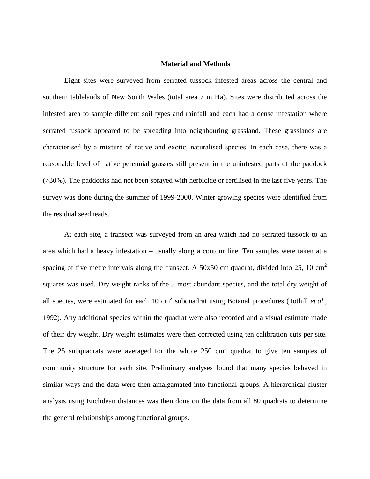#### **Material and Methods**

Eight sites were surveyed from serrated tussock infested areas across the central and southern tablelands of New South Wales (total area 7 m Ha). Sites were distributed across the infested area to sample different soil types and rainfall and each had a dense infestation where serrated tussock appeared to be spreading into neighbouring grassland. These grasslands are characterised by a mixture of native and exotic, naturalised species. In each case, there was a reasonable level of native perennial grasses still present in the uninfested parts of the paddock (>30%). The paddocks had not been sprayed with herbicide or fertilised in the last five years. The survey was done during the summer of 1999-2000. Winter growing species were identified from the residual seedheads.

At each site, a transect was surveyed from an area which had no serrated tussock to an area which had a heavy infestation – usually along a contour line. Ten samples were taken at a spacing of five metre intervals along the transect. A 50x50 cm quadrat, divided into 25, 10 cm<sup>2</sup> squares was used. Dry weight ranks of the 3 most abundant species, and the total dry weight of all species, were estimated for each  $10 \text{ cm}^2$  subquadrat using Botanal procedures (Tothill *et al.*, 1992). Any additional species within the quadrat were also recorded and a visual estimate made of their dry weight. Dry weight estimates were then corrected using ten calibration cuts per site. The 25 subquadrats were averaged for the whole 250  $\text{cm}^2$  quadrat to give ten samples of community structure for each site. Preliminary analyses found that many species behaved in similar ways and the data were then amalgamated into functional groups. A hierarchical cluster analysis using Euclidean distances was then done on the data from all 80 quadrats to determine the general relationships among functional groups.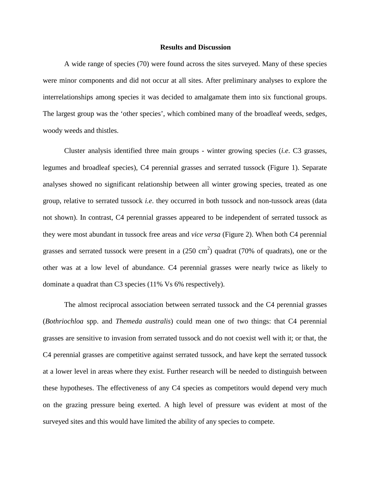#### **Results and Discussion**

A wide range of species (70) were found across the sites surveyed. Many of these species were minor components and did not occur at all sites. After preliminary analyses to explore the interrelationships among species it was decided to amalgamate them into six functional groups. The largest group was the 'other species', which combined many of the broadleaf weeds, sedges, woody weeds and thistles.

Cluster analysis identified three main groups - winter growing species (*i.e*. C3 grasses, legumes and broadleaf species), C4 perennial grasses and serrated tussock (Figure 1). Separate analyses showed no significant relationship between all winter growing species, treated as one group, relative to serrated tussock *i.e*. they occurred in both tussock and non-tussock areas (data not shown). In contrast, C4 perennial grasses appeared to be independent of serrated tussock as they were most abundant in tussock free areas and *vice versa* (Figure 2). When both C4 perennial grasses and serrated tussock were present in a  $(250 \text{ cm}^2)$  quadrat (70% of quadrats), one or the other was at a low level of abundance. C4 perennial grasses were nearly twice as likely to dominate a quadrat than C3 species (11% Vs 6% respectively).

The almost reciprocal association between serrated tussock and the C4 perennial grasses (*Bothriochloa* spp. and *Themeda australis*) could mean one of two things: that C4 perennial grasses are sensitive to invasion from serrated tussock and do not coexist well with it; or that, the C4 perennial grasses are competitive against serrated tussock, and have kept the serrated tussock at a lower level in areas where they exist. Further research will be needed to distinguish between these hypotheses. The effectiveness of any C4 species as competitors would depend very much on the grazing pressure being exerted. A high level of pressure was evident at most of the surveyed sites and this would have limited the ability of any species to compete.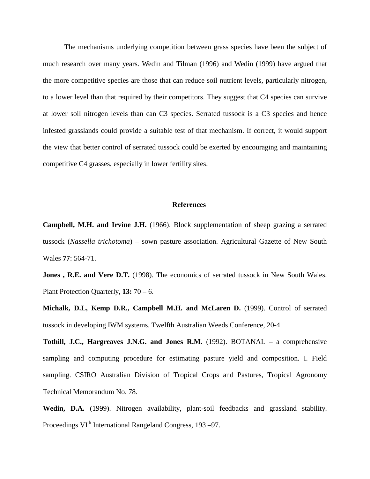The mechanisms underlying competition between grass species have been the subject of much research over many years. Wedin and Tilman (1996) and Wedin (1999) have argued that the more competitive species are those that can reduce soil nutrient levels, particularly nitrogen, to a lower level than that required by their competitors. They suggest that C4 species can survive at lower soil nitrogen levels than can C3 species. Serrated tussock is a C3 species and hence infested grasslands could provide a suitable test of that mechanism. If correct, it would support the view that better control of serrated tussock could be exerted by encouraging and maintaining competitive C4 grasses, especially in lower fertility sites.

#### **References**

**Campbell, M.H. and Irvine J.H.** (1966). Block supplementation of sheep grazing a serrated tussock (*Nassella trichotoma*) – sown pasture association. Agricultural Gazette of New South Wales **77**: 564-71.

Jones, R.E. and Vere D.T. (1998). The economics of serrated tussock in New South Wales. Plant Protection Quarterly*,* **13:** 70 – 6.

**Michalk, D.L, Kemp D.R., Campbell M.H. and McLaren D.** (1999). Control of serrated tussock in developing IWM systems. Twelfth Australian Weeds Conference, 20-4.

**Tothill, J.C., Hargreaves J.N.G. and Jones R.M.** (1992). BOTANAL – a comprehensive sampling and computing procedure for estimating pasture yield and composition. I. Field sampling. CSIRO Australian Division of Tropical Crops and Pastures, Tropical Agronomy Technical Memorandum No. 78.

**Wedin, D.A.** (1999). Nitrogen availability, plant-soil feedbacks and grassland stability. Proceedings VI<sup>th</sup> International Rangeland Congress, 193–97.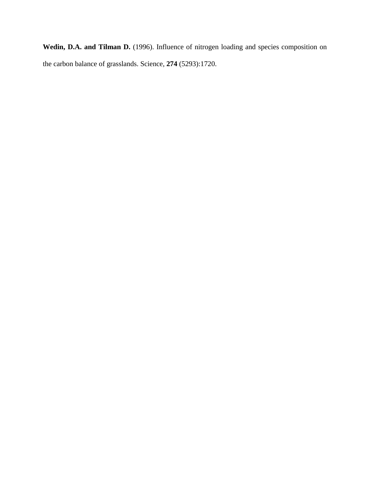Wedin, D.A. and Tilman D. (1996). Influence of nitrogen loading and species composition on the carbon balance of grasslands. Science, **274** (5293):1720.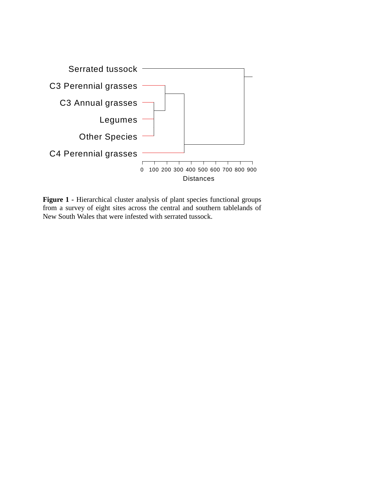

Figure 1 - Hierarchical cluster analysis of plant species functional groups from a survey of eight sites across the central and southern tablelands of New South Wales that were infested with serrated tussock.